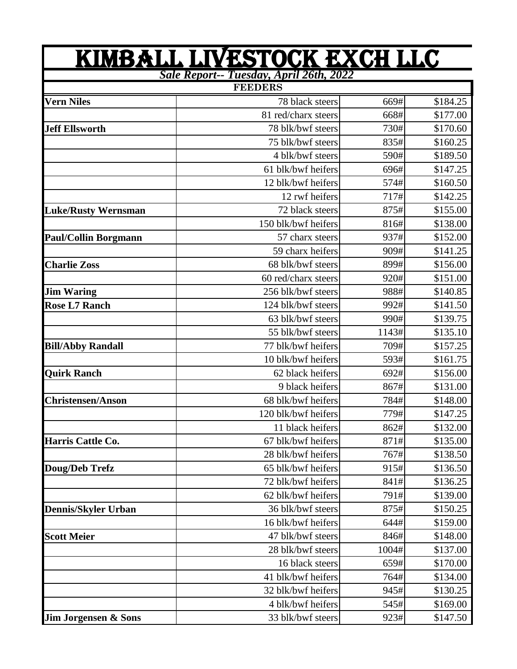| <u>KIMBALL LIVESTOCK EXCH LLC</u><br><b>Sale Report-- Tuesday, April 26th, 2022</b> |                     |       |          |  |  |
|-------------------------------------------------------------------------------------|---------------------|-------|----------|--|--|
|                                                                                     |                     |       |          |  |  |
| <b>Vern Niles</b>                                                                   | 78 black steers     | 669#  | \$184.25 |  |  |
|                                                                                     | 81 red/charx steers | 668#  | \$177.00 |  |  |
| <b>Jeff Ellsworth</b>                                                               | 78 blk/bwf steers   | 730#  | \$170.60 |  |  |
|                                                                                     | 75 blk/bwf steers   | 835#  | \$160.25 |  |  |
|                                                                                     | 4 blk/bwf steers    | 590#  | \$189.50 |  |  |
|                                                                                     | 61 blk/bwf heifers  | 696#  | \$147.25 |  |  |
|                                                                                     | 12 blk/bwf heifers  | 574#  | \$160.50 |  |  |
|                                                                                     | 12 rwf heifers      | 717#  | \$142.25 |  |  |
| <b>Luke/Rusty Wernsman</b>                                                          | 72 black steers     | 875#  | \$155.00 |  |  |
|                                                                                     | 150 blk/bwf heifers | 816#  | \$138.00 |  |  |
| <b>Paul/Collin Borgmann</b>                                                         | 57 charx steers     | 937#  | \$152.00 |  |  |
|                                                                                     | 59 charx heifers    | 909#  | \$141.25 |  |  |
| <b>Charlie Zoss</b>                                                                 | 68 blk/bwf steers   | 899#  | \$156.00 |  |  |
|                                                                                     | 60 red/charx steers | 920#  | \$151.00 |  |  |
| <b>Jim Waring</b>                                                                   | 256 blk/bwf steers  | 988#  | \$140.85 |  |  |
| <b>Rose L7 Ranch</b>                                                                | 124 blk/bwf steers  | 992#  | \$141.50 |  |  |
|                                                                                     | 63 blk/bwf steers   | 990#  | \$139.75 |  |  |
|                                                                                     | 55 blk/bwf steers   | 1143# | \$135.10 |  |  |
| <b>Bill/Abby Randall</b>                                                            | 77 blk/bwf heifers  | 709#  | \$157.25 |  |  |
|                                                                                     | 10 blk/bwf heifers  | 593#  | \$161.75 |  |  |
| <b>Quirk Ranch</b>                                                                  | 62 black heifers    | 692#  | \$156.00 |  |  |
|                                                                                     | 9 black heifers     | 867#  | \$131.00 |  |  |
| <b>Christensen/Anson</b>                                                            | 68 blk/bwf heifers  | 784#  | \$148.00 |  |  |
|                                                                                     | 120 blk/bwf heifers | 779#  | \$147.25 |  |  |
|                                                                                     | 11 black heifers    | 862#  | \$132.00 |  |  |
| Harris Cattle Co.                                                                   | 67 blk/bwf heifers  | 871#  | \$135.00 |  |  |
|                                                                                     | 28 blk/bwf heifers  | 767#  | \$138.50 |  |  |
| Doug/Deb Trefz                                                                      | 65 blk/bwf heifers  | 915#  | \$136.50 |  |  |
|                                                                                     | 72 blk/bwf heifers  | 841#  | \$136.25 |  |  |
|                                                                                     | 62 blk/bwf heifers  | 791#  | \$139.00 |  |  |
| <b>Dennis/Skyler Urban</b>                                                          | 36 blk/bwf steers   | 875#  | \$150.25 |  |  |
|                                                                                     | 16 blk/bwf heifers  | 644#  | \$159.00 |  |  |
| <b>Scott Meier</b>                                                                  | 47 blk/bwf steers   | 846#  | \$148.00 |  |  |
|                                                                                     | 28 blk/bwf steers   | 1004# | \$137.00 |  |  |
|                                                                                     | 16 black steers     | 659#  | \$170.00 |  |  |
|                                                                                     | 41 blk/bwf heifers  | 764#  | \$134.00 |  |  |
|                                                                                     | 32 blk/bwf heifers  | 945#  | \$130.25 |  |  |
|                                                                                     | 4 blk/bwf heifers   | 545#  | \$169.00 |  |  |
| Jim Jorgensen & Sons                                                                | 33 blk/bwf steers   | 923#  | \$147.50 |  |  |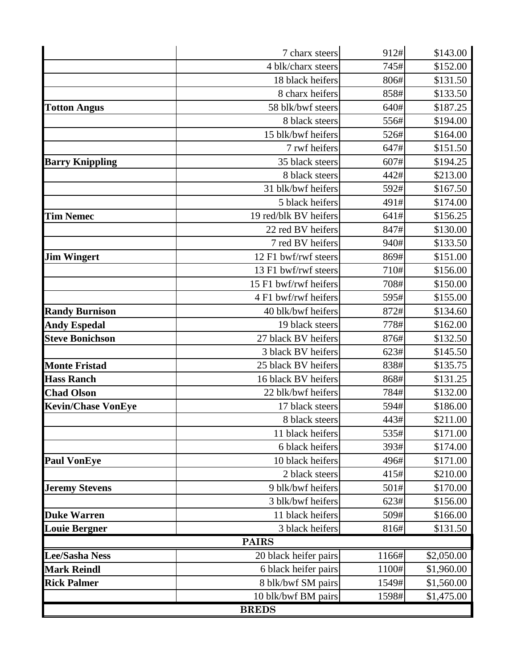|                           | 7 charx steers        | 912#             | \$143.00   |  |  |  |
|---------------------------|-----------------------|------------------|------------|--|--|--|
|                           | 4 blk/charx steers    |                  | \$152.00   |  |  |  |
|                           | 18 black heifers      |                  | \$131.50   |  |  |  |
|                           | 8 charx heifers       | 858#             | \$133.50   |  |  |  |
| <b>Totton Angus</b>       | 58 blk/bwf steers     | 640#             | \$187.25   |  |  |  |
|                           | 8 black steers        | 556#             | \$194.00   |  |  |  |
|                           | 15 blk/bwf heifers    | 526#             | \$164.00   |  |  |  |
|                           | 7 rwf heifers         | 647#             | \$151.50   |  |  |  |
| <b>Barry Knippling</b>    | 35 black steers       | 607#             | \$194.25   |  |  |  |
|                           | 8 black steers        | 442#             |            |  |  |  |
|                           | 31 blk/bwf heifers    | 592#             | \$167.50   |  |  |  |
|                           | 5 black heifers       | 491#             | \$174.00   |  |  |  |
| <b>Tim Nemec</b>          | 19 red/blk BV heifers | 641#             | \$156.25   |  |  |  |
|                           | 22 red BV heifers     | 847#             | \$130.00   |  |  |  |
|                           | 7 red BV heifers      | 940#             | \$133.50   |  |  |  |
| <b>Jim Wingert</b>        | 12 F1 bwf/rwf steers  | 869#             | \$151.00   |  |  |  |
|                           | 13 F1 bwf/rwf steers  | 710#             | \$156.00   |  |  |  |
|                           | 15 F1 bwf/rwf heifers | 708#             | \$150.00   |  |  |  |
|                           | 4 F1 bwf/rwf heifers  | 595#             | \$155.00   |  |  |  |
| <b>Randy Burnison</b>     | 40 blk/bwf heifers    | 872#             | \$134.60   |  |  |  |
| <b>Andy Espedal</b>       | 19 black steers       | 778#             | \$162.00   |  |  |  |
| <b>Steve Bonichson</b>    | 27 black BV heifers   | 876#             | \$132.50   |  |  |  |
|                           | 3 black BV heifers    | 623#             | \$145.50   |  |  |  |
| <b>Monte Fristad</b>      | 25 black BV heifers   | 838#             | \$135.75   |  |  |  |
| <b>Hass Ranch</b>         | 16 black BV heifers   | 868#<br>\$131.25 |            |  |  |  |
| <b>Chad Olson</b>         | 22 blk/bwf heifers    | 784#<br>\$132.00 |            |  |  |  |
| <b>Kevin/Chase VonEye</b> | 17 black steers       | 594#             | \$186.00   |  |  |  |
|                           | 8 black steers        | 443#             | \$211.00   |  |  |  |
|                           | 11 black heifers      | 535#             | \$171.00   |  |  |  |
|                           | 6 black heifers       | 393#             | \$174.00   |  |  |  |
| <b>Paul VonEye</b>        | 10 black heifers      | 496#             | \$171.00   |  |  |  |
|                           | 2 black steers        | 415#             | \$210.00   |  |  |  |
| <b>Jeremy Stevens</b>     | 9 blk/bwf heifers     | 501#             | \$170.00   |  |  |  |
|                           | 3 blk/bwf heifers     | 623#             | \$156.00   |  |  |  |
| <b>Duke Warren</b>        | 11 black heifers      | 509#             | \$166.00   |  |  |  |
| <b>Louie Bergner</b>      | 3 black heifers       | 816#             | \$131.50   |  |  |  |
|                           | <b>PAIRS</b>          |                  |            |  |  |  |
| <b>Lee/Sasha Ness</b>     | 20 black heifer pairs | 1166#            | \$2,050.00 |  |  |  |
| <b>Mark Reindl</b>        | 6 black heifer pairs  | 1100#            | \$1,960.00 |  |  |  |
| <b>Rick Palmer</b>        | 8 blk/bwf SM pairs    | 1549#            | \$1,560.00 |  |  |  |
|                           | 10 blk/bwf BM pairs   | 1598#            | \$1,475.00 |  |  |  |
| <b>BREDS</b>              |                       |                  |            |  |  |  |